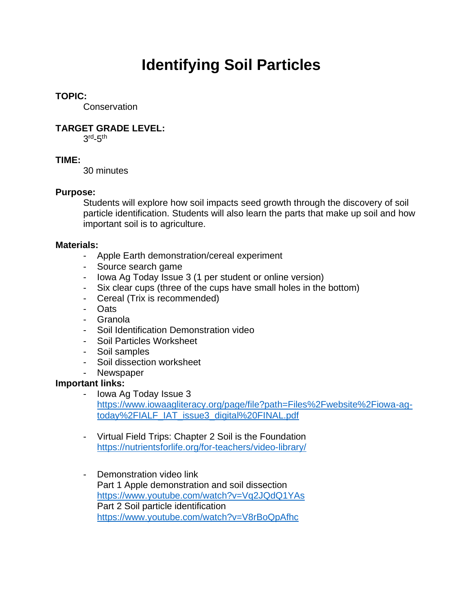# **Identifying Soil Particles**

## **TOPIC:**

**Conservation** 

# **TARGET GRADE LEVEL:**

 $3<sup>rd</sup> - 5<sup>th</sup>$ 

## **TIME:**

30 minutes

#### **Purpose:**

Students will explore how soil impacts seed growth through the discovery of soil particle identification. Students will also learn the parts that make up soil and how important soil is to agriculture.

#### **Materials:**

- Apple Earth demonstration/cereal experiment
- Source search game
- Iowa Ag Today Issue 3 (1 per student or online version)
- Six clear cups (three of the cups have small holes in the bottom)
- Cereal (Trix is recommended)
- Oats
- Granola
- Soil Identification Demonstration video
- Soil Particles Worksheet
- Soil samples
- Soil dissection worksheet
- Newspaper

#### **Important links:**

- Iowa Ag Today Issue 3 [https://www.iowaagliteracy.org/page/file?path=Files%2Fwebsite%2Fiowa-ag](https://www.iowaagliteracy.org/page/file?path=Files%2Fwebsite%2Fiowa-ag-today%2FIALF_IAT_issue3_digital%20FINAL.pdf)[today%2FIALF\\_IAT\\_issue3\\_digital%20FINAL.pdf](https://www.iowaagliteracy.org/page/file?path=Files%2Fwebsite%2Fiowa-ag-today%2FIALF_IAT_issue3_digital%20FINAL.pdf)
- Virtual Field Trips: Chapter 2 Soil is the Foundation <https://nutrientsforlife.org/for-teachers/video-library/>
- Demonstration video link Part 1 Apple demonstration and soil dissection <https://www.youtube.com/watch?v=Vq2JQdQ1YAs> Part 2 Soil particle identification <https://www.youtube.com/watch?v=V8rBoQpAfhc>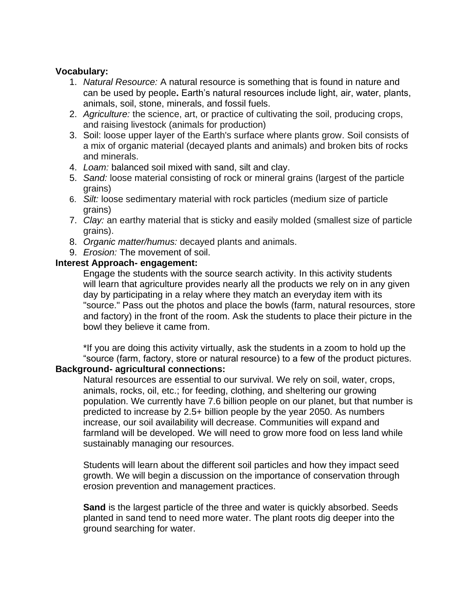#### **Vocabulary:**

- 1. *Natural Resource:* A natural resource is something that is found in nature and can be used by people**.** Earth's natural resources include light, air, water, plants, animals, soil, stone, minerals, and fossil fuels.
- 2. *Agriculture:* the science, art, or practice of cultivating the soil, producing crops, and raising livestock (animals for production)
- 3. Soil: loose upper layer of the Earth's surface where plants grow. Soil consists of a mix of organic material (decayed plants and animals) and broken bits of rocks and minerals.
- 4. *Loam:* balanced soil mixed with sand, silt and clay.
- 5. *Sand:* loose material consisting of rock or mineral grains (largest of the particle grains)
- 6. *Silt:* loose sedimentary material with rock particles (medium size of particle grains)
- 7. *Clay:* an earthy material that is sticky and easily molded (smallest size of particle grains).
- 8. *Organic matter/humus:* decayed plants and animals.
- 9. *Erosion:* The movement of soil.

## **Interest Approach- engagement:**

Engage the students with the source search activity. In this activity students will learn that agriculture provides nearly all the products we rely on in any given day by participating in a relay where they match an everyday item with its "source." Pass out the photos and place the bowls (farm, natural resources, store and factory) in the front of the room. Ask the students to place their picture in the bowl they believe it came from.

\*If you are doing this activity virtually, ask the students in a zoom to hold up the "source (farm, factory, store or natural resource) to a few of the product pictures.

## **Background- agricultural connections:**

Natural resources are essential to our survival. We rely on soil, water, crops, animals, rocks, oil, etc.; for feeding, clothing, and sheltering our growing population. We currently have 7.6 billion people on our planet, but that number is predicted to increase by 2.5+ billion people by the year 2050. As numbers increase, our soil availability will decrease. Communities will expand and farmland will be developed. We will need to grow more food on less land while sustainably managing our resources.

Students will learn about the different soil particles and how they impact seed growth. We will begin a discussion on the importance of conservation through erosion prevention and management practices.

**Sand** is the largest particle of the three and water is quickly absorbed. Seeds planted in sand tend to need more water. The plant roots dig deeper into the ground searching for water.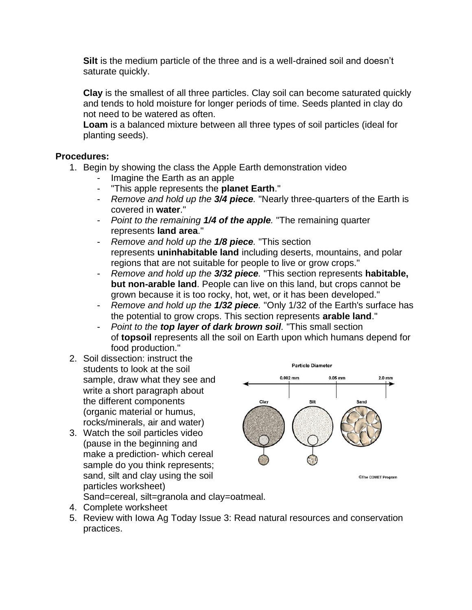**Silt** is the medium particle of the three and is a well-drained soil and doesn't saturate quickly.

**Clay** is the smallest of all three particles. Clay soil can become saturated quickly and tends to hold moisture for longer periods of time. Seeds planted in clay do not need to be watered as often.

**Loam** is a balanced mixture between all three types of soil particles (ideal for planting seeds).

## **Procedures:**

- 1. Begin by showing the class the Apple Earth demonstration video
	- Imagine the Earth as an apple
	- "This apple represents the **planet Earth**."
	- *Remove and hold up the 3/4 piece.* "Nearly three-quarters of the Earth is covered in **water**."
	- *Point to the remaining 1/4 of the apple.* "The remaining quarter represents **land area**."
	- *Remove and hold up the 1/8 piece.* "This section represents **uninhabitable land** including deserts, mountains, and polar regions that are not suitable for people to live or grow crops."
	- *Remove and hold up the 3/32 piece.* "This section represents **habitable, but non-arable land**. People can live on this land, but crops cannot be grown because it is too rocky, hot, wet, or it has been developed."
	- *Remove and hold up the 1/32 piece.* "Only 1/32 of the Earth's surface has the potential to grow crops. This section represents **arable land**."
	- *Point to the top layer of dark brown soil.* "This small section of **topsoil** represents all the soil on Earth upon which humans depend for food production."
- 2. Soil dissection: instruct the students to look at the soil sample, draw what they see and write a short paragraph about the different components (organic material or humus, rocks/minerals, air and water)
- 3. Watch the soil particles video (pause in the beginning and make a prediction- which cereal sample do you think represents; sand, silt and clay using the soil particles worksheet)



- Sand=cereal, silt=granola and clay=oatmeal.
- 4. Complete worksheet
- 5. Review with Iowa Ag Today Issue 3: Read natural resources and conservation practices.